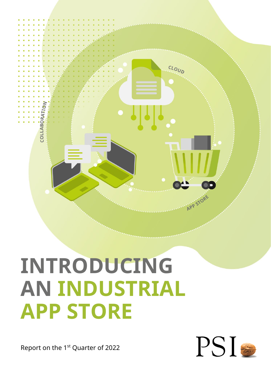

# **INTRODUCING AN INDUSTRIAL APP STORE**

Report on the 1<sup>st</sup> Quarter of 2022

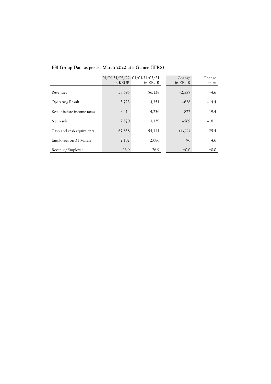| PSI Group Data as per 31 March 2022 at a Glance (IFRS) |  |  |
|--------------------------------------------------------|--|--|
|                                                        |  |  |

|                            | 01/01-31/03/22 01/01-31/03/21<br>in KEUR | in KEUR | Change<br>in KEUR | Change<br>in $%$ |
|----------------------------|------------------------------------------|---------|-------------------|------------------|
| Revenues                   | 58,695                                   | 56,138  | $+2,557$          | $+4.6$           |
| <b>Operating Result</b>    | 3,723                                    | 4,351   | $-628$            | $-14.4$          |
| Result before income taxes | 3,414                                    | 4,236   | $-822$            | $-19.4$          |
| Net result                 | 2,570                                    | 3,139   | $-569$            | $-18.1$          |
| Cash and cash equivalents  | 67,838                                   | 54,111  | $+13,727$         | $+25.4$          |
| Employees on 31 March      | 2,182                                    | 2,086   | $+96$             | $+4.6$           |
| Revenue/Employee           | 26.9                                     | 26.9    | $+0.0$            | $+0.0$           |
|                            |                                          |         |                   |                  |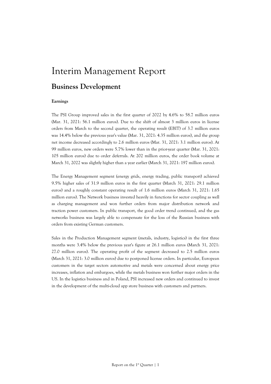## Interim Management Report

## **Business Development**

#### **Earnings**

The PSI Group improved sales in the first quarter of 2022 by 4.6% to 58.7 million euros (Mar. 31, 2021: 56.1 million euros). Due to the shift of almost 3 million euros in license orders from March to the second quarter, the operating result (EBIT) of 3.7 million euros was 14.4% below the previous year's value (Mar. 31, 2021: 4.35 million euros), and the group net income decreased accordingly to 2.6 million euros (Mar. 31, 2021: 3.1 million euros). At 99 million euros, new orders were 5.7% lower than in the prior-year quarter (Mar. 31, 2021: 105 million euros) due to order deferrals. At 202 million euros, the order book volume at March 31, 2022 was slightly higher than a year earlier (March 31, 2021: 197 million euros).

The Energy Management segment (energy grids, energy trading, public transport) achieved 9.5% higher sales of 31.9 million euros in the first quarter (March 31, 2021: 29.1 million euros) and a roughly constant operating result of 1.6 million euros (March 31, 2021: 1.65 million euros). The Network business invested heavily in functions for sector coupling as well as charging management and won further orders from major distribution network and traction power customers. In public transport, the good order trend continued, and the gas networks business was largely able to compensate for the loss of the Russian business with orders from existing German customers.

Sales in the Production Management segment (metals, industry, logistics) in the first three months were 3.4% below the previous year's figure at 26.1 million euros (March 31, 2021: 27.0 million euros). The operating profit of the segment decreased to 2.5 million euros (March 31, 2021: 3.0 million euros) due to postponed license orders. In particular, European customers in the target sectors automotive and metals were concerned about energy price increases, inflation and embargoes, while the metals business won further major orders in the US. In the logistics business and in Poland, PSI increased new orders and continued to invest in the development of the multi-cloud app store business with customers and partners.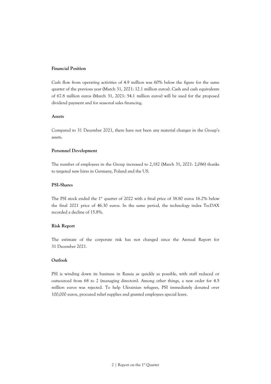### **Financial Position**

Cash flow from operating activities of 4.9 million was 60% below the figure for the same quarter of the previous year (March 31, 2021: 12.1 million euros). Cash and cash equivalents of 67.8 million euros (March 31, 2021: 54.1 million euros) will be used for the proposed dividend payment and for seasonal sales financing.

#### **Assets**

Compared to 31 December 2021, there have not been any material changes in the Group's assets.

#### **Personnel Development**

The number of employees in the Group increased to 2,182 (March 31, 2021: 2,086) thanks to targeted new hires in Germany, Poland and the US.

## **PSI-Shares**

The PSI stock ended the 1<sup>st</sup> quarter of 2022 with a final price of 38.80 euros 16.2% below the final 2021 price of 46.30 euros. In the same period, the technology index TecDAX recorded a decline of 15.8%.

### **Risk Report**

The estimate of the corporate risk has not changed since the Annual Report for 31 December 2021.

### **Outlook**

PSI is winding down its business in Russia as quickly as possible, with staff reduced or outsourced from 68 to 2 (managing directors). Among other things, a new order for 4.5 million euros was rejected. To help Ukrainian refugees, PSI immediately donated over 100,000 euros, procured relief supplies and granted employees special leave.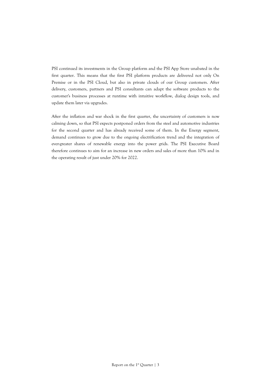PSI continued its investments in the Group platform and the PSI App Store unabated in the first quarter. This means that the first PSI platform products are delivered not only On Premise or in the PSI Cloud, but also in private clouds of our Group customers. After delivery, customers, partners and PSI consultants can adapt the software products to the customer's business processes at runtime with intuitive workflow, dialog design tools, and update them later via upgrades.

After the inflation and war shock in the first quarter, the uncertainty of customers is now calming down, so that PSI expects postponed orders from the steel and automotive industries for the second quarter and has already received some of them. In the Energy segment, demand continues to grow due to the ongoing electrification trend and the integration of ever-greater shares of renewable energy into the power grids. The PSI Executive Board therefore continues to aim for an increase in new orders and sales of more than 10% and in the operating result of just under 20% for 2022.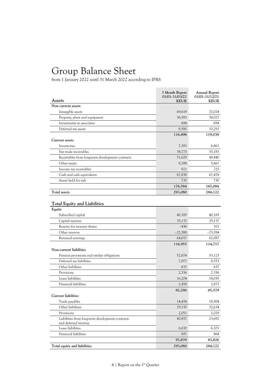## Group Balance Sheet

| <b>Assets</b>                                                            | 3 Month Report<br>01/01-31/03/22<br><b>KEUR</b> | <b>Annual Report</b><br>01/01-31/12/21<br><b>KEUR</b> |
|--------------------------------------------------------------------------|-------------------------------------------------|-------------------------------------------------------|
| Non current assets                                                       |                                                 |                                                       |
| Intangible assets                                                        | 69,619                                          | 70,024                                                |
| Property, plant and equipment                                            | 36,593                                          | 38,027                                                |
| Investments in associates                                                | 694                                             | 694                                                   |
| Deferred tax assets                                                      | 9,590                                           | 10,293                                                |
|                                                                          | 116,496                                         | 119,038                                               |
| <b>Current assets</b>                                                    |                                                 |                                                       |
| Inventories                                                              | 7,393                                           | 6,861                                                 |
| Net trade receivables                                                    | 38,775                                          | 35,183                                                |
| Receivables from long-term development contracts                         | 51,629                                          | 48,440                                                |
| Other assets                                                             | 9,298                                           | 5,667                                                 |
| Income tax receivables                                                   | 921                                             | 725                                                   |
| Cash and cash equivalents                                                | 67,838                                          | 67,478                                                |
| Assets held for sale                                                     | 730                                             | 730                                                   |
|                                                                          | 176,584                                         | 165,084                                               |
| <b>Total assets</b>                                                      | 293,080                                         | 284,122                                               |
| <b>Total Equity and Liabilities</b><br>Equity                            |                                                 |                                                       |
| Subscribed capital                                                       | 40,185                                          | 40,185                                                |
| Capital reserves                                                         | 35,137                                          | 35,137                                                |
| Reserve for treasury shares                                              | $-436$                                          | 702                                                   |
| Other reserves                                                           | $-22,588$                                       | $-23,394$                                             |
| Retained earnings                                                        | 64,657                                          | 62,087                                                |
| Non-current liabilities                                                  | 116,955                                         | 114,717                                               |
| Pension provisions and similar obligations                               | 52,674                                          | 53,123                                                |
| Deferred tax liabilities                                                 | 7,977                                           | 8,553                                                 |
| Other liabilities                                                        | 637                                             | 637                                                   |
| Provisions                                                               | 2,336                                           | 2,336                                                 |
| Lease liabilities                                                        | 16,204                                          | 18,055                                                |
| Financial liabilities                                                    | 2,458                                           | 2,875                                                 |
| <b>Current liabilities</b>                                               | 82,286                                          | 85,579                                                |
| Trade payables                                                           | 14,454                                          | 18,504                                                |
| Other liabilities                                                        | 29,150                                          | 32,634                                                |
| Provisions                                                               | 2,051                                           | 2,029                                                 |
| Liabilities from long-term development contracts<br>and deferred revenue | 40,857                                          | 23,692                                                |
| Lease liabilities                                                        | 6,630                                           | 6,103                                                 |
| Financial liabilities                                                    | 697                                             | 864                                                   |
|                                                                          | 93,839                                          | 83,826                                                |
| Total equity and liabilities                                             | 293,080                                         | 284,122                                               |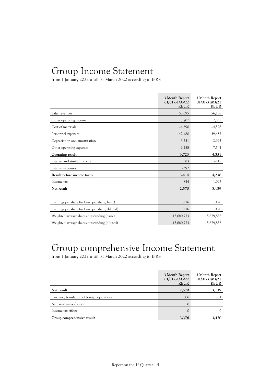## Group Income Statement

from 1 January 2022 until 31 March 2022 according to IFRS

|                                                 | 3 Month Report<br>01/01-31/03/22<br><b>KEUR</b> | 3 Month Report<br>01/01-31/03/21<br><b>KEUR</b> |
|-------------------------------------------------|-------------------------------------------------|-------------------------------------------------|
| Sales revenues                                  | 58,695                                          | 56,138                                          |
| Other operating income                          | 3,707                                           | 2,835                                           |
| Cost of materials                               | $-6,690$                                        | $-4,598$                                        |
| Personnel expenses                              | $-42,480$                                       | $-39,487$                                       |
| Depreciation and amortization                   | $-3,251$                                        | $-2,993$                                        |
| Other operating expenses                        | $-6,258$                                        | $-7,544$                                        |
| Operating result                                | 3,723                                           | 4,351                                           |
| Interest and similar income                     | 83                                              | $-115$                                          |
| Interest expenses                               | $-392$                                          |                                                 |
| Result before income taxes                      | 3,414                                           | 4,236                                           |
| Income tax                                      | $-844$                                          | $-1,097$                                        |
| Net result                                      | 2,570                                           | 3,139                                           |
|                                                 |                                                 |                                                 |
| Earnings per share (in Euro per share, basic)   | 0.16                                            | 0.20                                            |
| Earnings per share (in Euro per share, diluted) | 0.16                                            | 0.20                                            |
| Weighted average shares outstanding (basic)     | 15,680,773                                      | 15,679,838                                      |
| Weighted average shares outstanding (diluted)   | 15,680,773                                      | 15,679,838                                      |

## Group comprehensive Income Statement

|                                            | 3 Month Report<br>01/01-31/03/22<br><b>KEUR</b> | 3 Month Report<br>01/01-31/03/21<br><b>KEUR</b> |
|--------------------------------------------|-------------------------------------------------|-------------------------------------------------|
| Net result                                 | 2,570                                           | 3,139                                           |
| Currency translation of foreign operations | 806                                             | 331                                             |
| Actuarial gains / losses                   |                                                 |                                                 |
| Income tax effects                         |                                                 |                                                 |
| Group comprehensive result                 | 3,376                                           | 3,470                                           |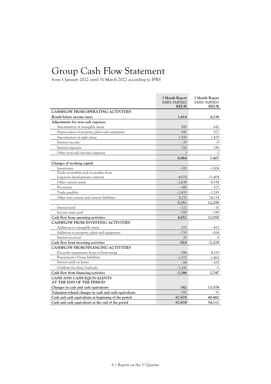## Group Cash Flow Statement

|                                                        | 3 Month Report<br>01/01-31/03/22<br><b>KEUR</b> | 3 Month Report<br>01/01-31/03/21<br><b>KEUR</b> |
|--------------------------------------------------------|-------------------------------------------------|-------------------------------------------------|
| <b>CASHFLOW FROM OPERATING ACTIVITIES</b>              |                                                 |                                                 |
| Result before income taxes                             | 3,414                                           | 4,236                                           |
| Adjustments for non-cash expenses                      |                                                 |                                                 |
| Amortisation of intangible assets                      | 845                                             | 642                                             |
| Depreciation of property, plant and equipment          | 847                                             | 872                                             |
| Amortization of right-of-use                           | 1,559                                           | 1,479                                           |
| Interest income                                        | $-20$                                           | $-8$                                            |
| Interest expenses                                      | 316                                             | 186                                             |
| Other non-cash income/expenses                         | 3                                               | 0                                               |
|                                                        | 6,964                                           | 7,407                                           |
| Changes of working capital                             |                                                 |                                                 |
| Inventories                                            | $-320$                                          | $-1,804$                                        |
| Trade receivables and receivables from                 |                                                 |                                                 |
| long-term development contracts                        | $-4,074$                                        | $-11,404$                                       |
| Other current assets                                   | $-2,638$                                        | $-4,194$                                        |
| Provisions                                             | $-380$                                          | $-575$                                          |
| Trade payables                                         | $-2,433$                                        | $-1,285$                                        |
| Other non-current and current liabilities              | 8,232                                           | 24,114                                          |
|                                                        | 5,351                                           | 12,259                                          |
| Interest paid                                          | $-121$                                          | $-10$                                           |
| Income taxes paid                                      | $-378$                                          | $-199$                                          |
| Cash flow from operating activities                    | 4,852                                           | 12,050                                          |
| <b>CASHFLOW FROM INVESTING ACTIVITIES</b>              |                                                 |                                                 |
| Additions to intangible assets                         | $-225$                                          | $-413$                                          |
| Additions to property, plant and equipment             | $-719$                                          | $-814$                                          |
| Interest received                                      | 20                                              | 8                                               |
| Cash flow from investing activities                    | $-924$                                          | $-1,219$                                        |
| CASHFLOW FROM FINANCING ACTIVITIES                     |                                                 |                                                 |
| Proceeds/repayments from/of borrowings                 | $-584$                                          | 4,319                                           |
| Repayments of lease liabilities                        | $-1,577$                                        | $-1,463$                                        |
| Interest paid on leases                                | $-84$                                           | $-109$                                          |
| Outflows for share buybacks                            | $-1,141$                                        | $\Omega$                                        |
| Cash flow from financing activities                    | $-3,386$                                        | 2,747                                           |
| CASH AND CASH EQUIVALENTS<br>AT THE END OF THE PERIOD  |                                                 |                                                 |
| Changes in cash and cash equivalents                   | 542                                             | 13,578                                          |
| Valuation-related changes in cash and cash equivalents | $-182$                                          | 51                                              |
| Cash and cash equivalents at beginning of the period   | 67,478                                          | 40,482                                          |
| Cash and cash equivalents at the end of the period     | 67,838                                          | 54,111                                          |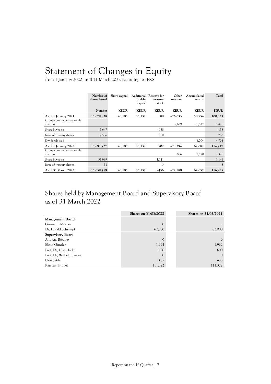## Statement of Changes in Equity

from 1 January 2022 until 31 March 2022 according to IFRS

|                                         | Number of<br>shares issued | Share capital | paid-in<br>capital | Additional Reserve for<br>treasury<br>stock | Other<br>reserves | Accumulated<br>results | Total       |
|-----------------------------------------|----------------------------|---------------|--------------------|---------------------------------------------|-------------------|------------------------|-------------|
|                                         | Number                     | <b>KEUR</b>   | <b>KEUR</b>        | <b>KEUR</b>                                 | <b>KEUR</b>       | <b>KEUR</b>            | <b>KEUR</b> |
| As of 1 January 2021                    | 15,679,838                 | 40,185        | 35,137             | 80                                          | $-26,033$         | 50,954                 | 100,323     |
| Group comprehensive result<br>after tax |                            |               |                    |                                             | 2,639             | 15,837                 | 18,476      |
| Share buybacks                          | $-5,647$                   |               |                    | $-158$                                      |                   |                        | $-158$      |
| Issue of treasury shares                | 17,536                     |               |                    | 780                                         |                   |                        | 780         |
| Dividends paid                          |                            |               |                    |                                             |                   | $-4,704$               | $-4,704$    |
| As of 1 January 2022                    | 15,691,727                 | 40,185        | 35,137             | 702                                         | $-23,394$         | 62,087                 | 114,717     |
| Group comprehensive result<br>after tax |                            |               |                    |                                             | 806               | 2,570                  | 3,376       |
| Share buybacks                          | $-31,999$                  |               |                    | $-1,141$                                    |                   |                        | $-1,141$    |
| Issue of treasury shares                | 51                         |               |                    | 3                                           |                   |                        | 3           |
| As of 31 March 2023                     | 15,659,779                 | 40,185        | 35,137             | $-436$                                      | $-22,588$         | 64,657                 | 116,955     |

## Shares held by Management Board and Supervisory Board as of 31 March 2022

|                          | Shares on 31/03/2022 | Shares on 31/03/2021 |
|--------------------------|----------------------|----------------------|
| Management Board         |                      |                      |
| Gunnar Glöckner          |                      |                      |
| Dr, Harald Schrimpf      | 62,000               | 62,000               |
| <b>Supervisory Board</b> |                      |                      |
| Andreas Böwing           |                      | 0                    |
| Elena Günzler            | 1,994                | 1,962                |
| Prof, Dr, Uwe Hack       | 600                  | 600                  |
| Prof, Dr, Wilhelm Jaroni | 0                    | $\mathcal{O}$        |
| Uwe Seidel               | 465                  | 433                  |
| Karsten Trippel          | 111,322              | 111,322              |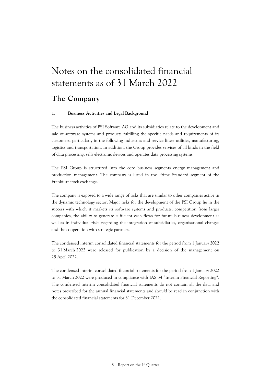## Notes on the consolidated financial statements as of 31 March 2022

## **The Company**

## **1. Business Activities and Legal Background**

The business activities of PSI Software AG and its subsidiaries relate to the development and sale of software systems and products fulfilling the specific needs and requirements of its customers, particularly in the following industries and service lines: utilities, manufacturing, logistics and transportation. In addition, the Group provides services of all kinds in the field of data processing, sells electronic devices and operates data processing systems.

The PSI Group is structured into the core business segments energy management and production management. The company is listed in the Prime Standard segment of the Frankfurt stock exchange.

The company is exposed to a wide range of risks that are similar to other companies active in the dynamic technology sector. Major risks for the development of the PSI Group lie in the success with which it markets its software systems and products, competition from larger companies, the ability to generate sufficient cash flows for future business development as well as in individual risks regarding the integration of subsidiaries, organisational changes and the cooperation with strategic partners.

The condensed interim consolidated financial statements for the period from 1 January 2022 to 31 March 2022 were released for publication by a decision of the management on 25 April 2022.

The condensed interim consolidated financial statements for the period from 1 January 2022 to 31 March 2022 were produced in compliance with IAS 34 "Interim Financial Reporting". The condensed interim consolidated financial statements do not contain all the data and notes prescribed for the annual financial statements and should be read in conjunction with the consolidated financial statements for 31 December 2021.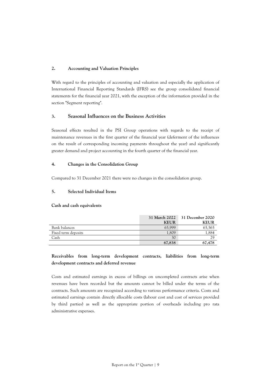## **2. Accounting and Valuation Principles**

With regard to the principles of accounting and valuation and especially the application of International Financial Reporting Standards (IFRS) see the group consolidated financial statements for the financial year 2021, with the exception of the information provided in the section "Segment reporting".

## **3. Seasonal Influences on the Business Activities**

Seasonal effects resulted in the PSI Group operations with regards to the receipt of maintenance revenues in the first quarter of the financial year (deferment of the influences on the result of corresponding incoming payments throughout the year) and significantly greater demand and project accounting in the fourth quarter of the financial year.

## **4. Changes in the Consolidation Group**

Compared to 31 December 2021 there were no changes in the consolidation group.

## **5. Selected Individual Items**

### **Cash and cash equivalents**

|                     | <b>31 March 2022</b> | 31 December 2020 |
|---------------------|----------------------|------------------|
|                     | <b>KEUR</b>          | <b>KEUR</b>      |
| Bank balances       | 65,999               | 65,565           |
| Fixed term deposits | 1,809                | .,884            |
| Cash                | 30                   | 29               |
|                     | 67,838               | 67,478           |

## **Receivables from long-term development contracts, liabilities from long-term development contracts and deferred revenue**

Costs and estimated earnings in excess of billings on uncompleted contracts arise when revenues have been recorded but the amounts cannot be billed under the terms of the contracts. Such amounts are recognized according to various performance criteria. Costs and estimated earnings contain directly allocable costs (labour cost and cost of services provided by third parties) as well as the appropriate portion of overheads including pro rata administrative expenses.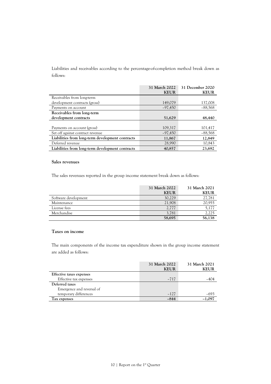Liabilities and receivables according to the percentage-of-completion method break down as follows:

|                                                  | 31 March 2022<br><b>KEUR</b> | 31 December 2020<br><b>KEUR</b> |
|--------------------------------------------------|------------------------------|---------------------------------|
| Receivables from long-term                       |                              |                                 |
| development contracts (gross)                    | 149,079                      | 137,008                         |
| Payments on account                              | $-97,450$                    | $-88,568$                       |
| Receivables from long-term                       |                              |                                 |
| development contracts                            | 51,629                       | 48,440                          |
|                                                  |                              |                                 |
| Payments on account (gross)                      | 109,317                      | 101,417                         |
| Set off against contract revenue                 | $-97,450$                    | $-88,568$                       |
| Liabilities from long-term development contracts | 11,867                       | 12,849                          |
| Deferred revenue                                 | 28,990                       | 10,843                          |
| Liabilities from long-term development contracts | 40,857                       | 23,692                          |

### **Sales revenues**

The sales revenues reported in the group income statement break down as follows:

|                      | 31 March 2022<br><b>KEUR</b> | 31 March 2021<br><b>KEUR</b> |
|----------------------|------------------------------|------------------------------|
| Software development | 30,229                       | 27,781                       |
| Maintenance          | 21,908                       | 20,955                       |
| License fees         | 2,777                        | 5,177                        |
| Merchandise          | 3,781                        | 2,225                        |
|                      | 58,695                       | 56,138                       |

## **Taxes on income**

The main components of the income tax expenditure shown in the group income statement are added as follows:

|                           | 31 March 2022<br><b>KEUR</b> | 31 March 2021<br><b>KEUR</b> |
|---------------------------|------------------------------|------------------------------|
| Effective taxes expenses  |                              |                              |
| Effective tax expenses    | $-717$                       |                              |
| Deferred taxes            |                              |                              |
| Emergence and reversal of |                              |                              |
| temporary differences     | $-127$                       | -693                         |
| Tax expenses              | $-844$                       | $-1,097$                     |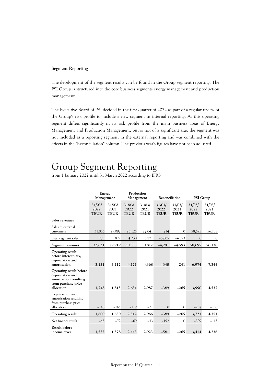### **Segment Reporting**

The development of the segment results can be found in the Group segment reporting. The PSI Group is structured into the core business segments energy management and production management.

The Executive Board of PSI decided in the first quarter of 2022 as part of a regular review of the Group's risk profile to include a new segment in internal reporting. As this operating segment differs significantly in its risk profile from the main business areas of Energy Management and Production Management, but is not of a significant size, the segment was not included as a reporting segment in the external reporting and was combined with the effects in the "Reconciliation" column. The previous year's figures have not been adjusted.

## Group Segment Reporting

|                                                                                                            | Energy<br>Management          |                               | Production<br>Management      |                               | Reconciliation                |                               | PSI Group                     |                               |
|------------------------------------------------------------------------------------------------------------|-------------------------------|-------------------------------|-------------------------------|-------------------------------|-------------------------------|-------------------------------|-------------------------------|-------------------------------|
|                                                                                                            | 31/03/<br>2022<br><b>TEUR</b> | 31/03/<br>2021<br><b>TEUR</b> | 31/03/<br>2022<br><b>TEUR</b> | 31/03/<br>2021<br><b>TEUR</b> | 31/03/<br>2022<br><b>TEUR</b> | 31/03/<br>2021<br><b>TEUR</b> | 31/03/<br>2022<br><b>TEUR</b> | 31/03/<br>2021<br><b>TEUR</b> |
| Sales revenues                                                                                             |                               |                               |                               |                               |                               |                               |                               |                               |
| Sales to external<br>customers                                                                             | 31,856                        | 29.097                        | 26,125                        | 27.041                        | 714                           | $\circ$                       | 58,695                        | 56.138                        |
| Inter-segment sales                                                                                        | 775                           | 822                           | 4,230                         | 3.771                         | $-5,005$                      | $-4.593$                      | $\Omega$                      | 0                             |
| Segment revenues                                                                                           | 32,631                        | 29.919                        | 30,355                        | 30.812                        | $-4,291$                      | $-4.593$                      | 58,695                        | 56.138                        |
| Operating result<br>before interest, tax,<br>depreciation and<br>amortisation                              | 3,151                         | 3.217                         | 4,171                         | 4.368                         | $-348$                        | $-241$                        | 6,974                         | 7.344                         |
| Operating result before<br>depreciation and<br>amortisation resulting<br>from purchase price<br>allocation | 1,748                         | 1.815                         | 2,631                         | 2.987                         | $-389$                        | $-265$                        | 3,990                         | 4.537                         |
| Depreciation and<br>amortisation resulting<br>from purchase price<br>allocation                            | $-148$                        | $-165$                        | $-119$                        | $-21$                         | $\mathcal{O}$                 | $\mathcal{O}$                 | $-267$                        | $-186$                        |
| Operating result                                                                                           | 1,600                         | 1.650                         | 2,512                         | 2.966                         | $-389$                        | $-265$                        | 3,723                         | 4.351                         |
| Net finance result                                                                                         | $-48$                         | $-72$                         | $-69$                         | $-43$                         | $-192$                        | $\mathcal{O}$                 | $-309$                        | $-115$                        |
| <b>Result before</b><br>income taxes                                                                       | 1,552                         | 1.578                         | 2,443                         | 2.923                         | $-581$                        | $-265$                        | 3,414                         | 4.236                         |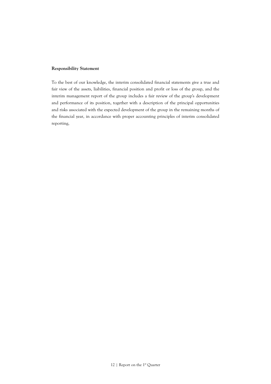## **Responsibility Statement**

To the best of our knowledge, the interim consolidated financial statements give a true and fair view of the assets, liabilities, financial position and profit or loss of the group, and the interim management report of the group includes a fair review of the group's development and performance of its position, together with a description of the principal opportunities and risks associated with the expected development of the group in the remaining months of the financial year, in accordance with proper accounting principles of interim consolidated reporting,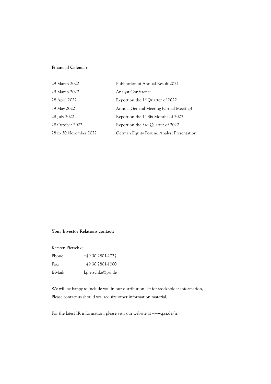## **Financial Calendar**

| 29 March 2022          | Publication of Annual Result 2021                |
|------------------------|--------------------------------------------------|
| 29 March 2022          | <b>Analyst Conference</b>                        |
| 28 April 2022          | Report on the 1 <sup>st</sup> Quarter of 2022    |
| 19 May 2022            | Annual General Meeting (virtual Meeting)         |
| 28 July 2022           | Report on the 1 <sup>st</sup> Six Months of 2022 |
| 28 October 2022        | Report on the 3rd Quarter of 2022                |
| 28 to 30 November 2022 | German Equity Forum, Analyst Presentation        |

## **Your Investor Relations contact:**

Karsten Pierschke

| Phone:  | +49 30 2801-2727  |
|---------|-------------------|
| Fax:    | +49 30 2801-1000  |
| E-Mail: | kpierschke@psi,de |

We will be happy to include you in our distribution list for stockholder information, Please contact us should you require other information material,

For the latest IR information, please visit our website at www,psi,de/ir,